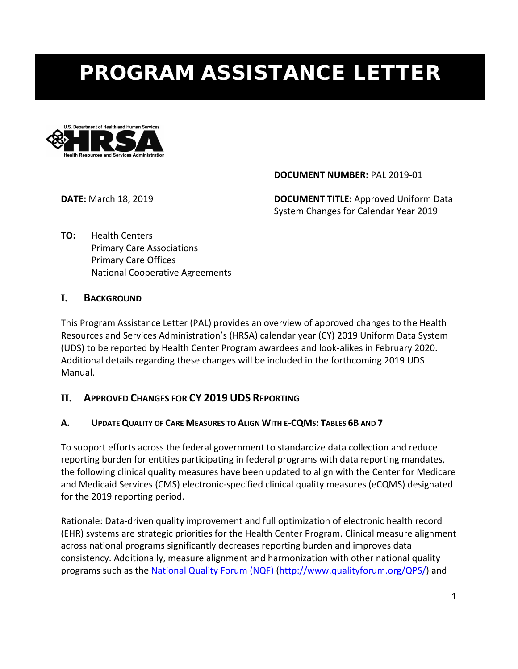# PROGRAM ASSISTANCE LETTER



**DOCUMENT NUMBER:** PAL 2019-01

**DATE:** March 18, 2019 **DOCUMENT TITLE:** Approved Uniform Data System Changes for Calendar Year 2019

**TO:** Health Centers Primary Care Associations Primary Care Offices National Cooperative Agreements

## **I. BACKGROUND**

This Program Assistance Letter (PAL) provides an overview of approved changes to the Health Resources and Services Administration's (HRSA) calendar year (CY) 2019 Uniform Data System (UDS) to be reported by Health Center Program awardees and look-alikes in February 2020. Additional details regarding these changes will be included in the forthcoming 2019 UDS Manual.

# **II. APPROVED CHANGES FOR CY 2019 UDS REPORTING**

## **A. UPDATE QUALITY OF CARE MEASURES TO ALIGN WITH E-CQMS: TABLES 6B AND 7**

To support efforts across the federal government to standardize data collection and reduce reporting burden for entities participating in federal programs with data reporting mandates, the following clinical quality measures have been updated to align with the Center for Medicare and Medicaid Services (CMS) electronic-specified clinical quality measures (eCQMS) designated for the 2019 reporting period.

Rationale: Data-driven quality improvement and full optimization of electronic health record (EHR) systems are strategic priorities for the Health Center Program. Clinical measure alignment across national programs significantly decreases reporting burden and improves data consistency. Additionally, measure alignment and harmonization with other national quality programs such as th[e National Quality Forum \(NQF\)](http://www.qualityforum.org/QPS/QPSTool.aspx) [\(http://www.qualityforum.org/QPS/\)](http://www.qualityforum.org/QPS/) and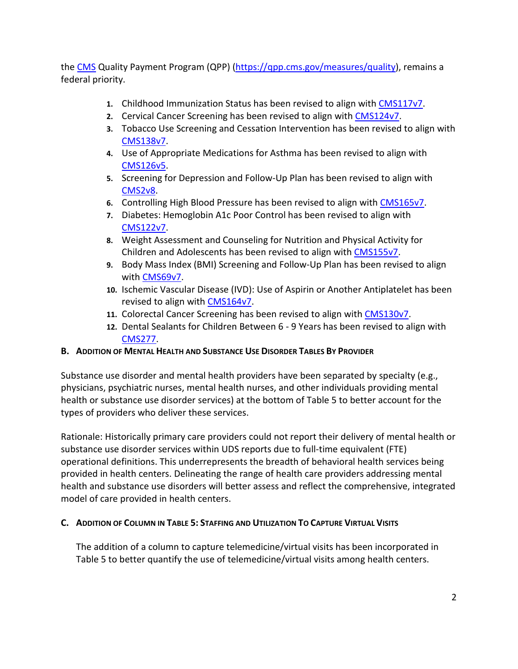the [CMS](http://www.cms.gov/Regulations-and-Guidance/Legislation/EHRIncentivePrograms/index.html?redirect=/ehrincentiveprograms) Quality Payment Program (QPP) [\(https://qpp.cms.gov/measures/quality\)](https://qpp.cms.gov/measures/quality), remains a federal priority.

- **1.** Childhood Immunization Status has been revised to align with [CMS117v7.](https://ecqi.healthit.gov/ecqm/measures/cms117v7)
- **2.** Cervical Cancer Screening has been revised to align with [CMS124v7.](https://ecqi.healthit.gov/ecqm/measures/cms124v7)
- **3.** Tobacco Use Screening and Cessation Intervention has been revised to align with [CMS138v7.](https://ecqi.healthit.gov/ecqm/measures/cms138v7)
- **4.** Use of Appropriate Medications for Asthma has been revised to align with [CMS126v5.](https://ecqi.healthit.gov/ecqm/measures/cms126v5)
- **5.** Screening for Depression and Follow-Up Plan has been revised to align with [CMS2v8.](https://ecqi.healthit.gov/ecqm/measures/cms002v8)
- **6.** Controlling High Blood Pressure has been revised to align with [CMS165v7.](https://ecqi.healthit.gov/ecqm/measures/cms165v7)
- **7.** Diabetes: Hemoglobin A1c Poor Control has been revised to align with [CMS122v7.](https://ecqi.healthit.gov/ecqm/measures/cms122v7)
- **8.** Weight Assessment and Counseling for Nutrition and Physical Activity for Children and Adolescents has been revised to align wit[h CMS155v7.](https://ecqi.healthit.gov/ecqm/measures/cms155v7)
- **9.** Body Mass Index (BMI) Screening and Follow-Up Plan has been revised to align with [CMS69v7.](https://ecqi.healthit.gov/ecqm/measures/cms069v7)
- **10.** Ischemic Vascular Disease (IVD): Use of Aspirin or Another Antiplatelet has been revised to align with [CMS164v7.](https://ecqi.healthit.gov/ecqm/measures/cms164v7)
- **11.** Colorectal Cancer Screening has been revised to align with [CMS130v7.](https://ecqi.healthit.gov/ecqm/measures/cms130v7)
- **12.** Dental Sealants for Children Between 6 9 Years has been revised to align with [CMS277.](https://ushik.ahrq.gov/QualityMeasuresListing?draft=true&system=dcqm&sortField=570&sortDirection=ascending&enableAsynchronousLoading=true)

## **B. ADDITION OF MENTAL HEALTH AND SUBSTANCE USE DISORDER TABLES BY PROVIDER**

Substance use disorder and mental health providers have been separated by specialty (e.g., physicians, psychiatric nurses, mental health nurses, and other individuals providing mental health or substance use disorder services) at the bottom of Table 5 to better account for the types of providers who deliver these services.

Rationale: Historically primary care providers could not report their delivery of mental health or substance use disorder services within UDS reports due to full-time equivalent (FTE) operational definitions. This underrepresents the breadth of behavioral health services being provided in health centers. Delineating the range of health care providers addressing mental health and substance use disorders will better assess and reflect the comprehensive, integrated model of care provided in health centers.

## **C. ADDITION OF COLUMN IN TABLE 5: STAFFING AND UTILIZATION TO CAPTURE VIRTUAL VISITS**

The addition of a column to capture telemedicine/virtual visits has been incorporated in Table 5 to better quantify the use of telemedicine/virtual visits among health centers.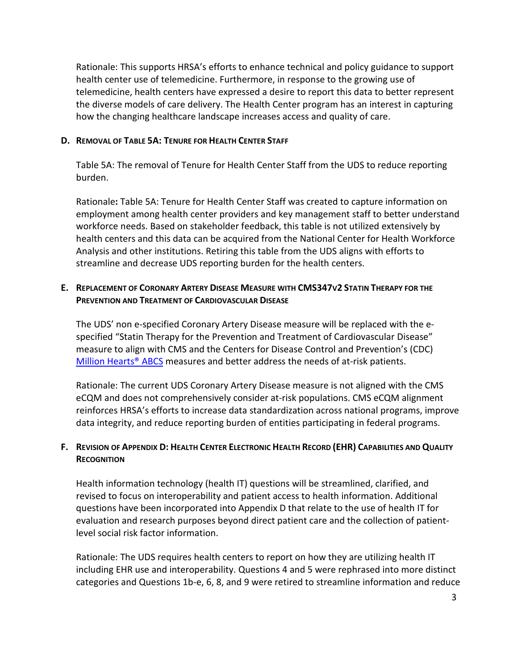Rationale: This supports HRSA's efforts to enhance technical and policy guidance to support health center use of telemedicine. Furthermore, in response to the growing use of telemedicine, health centers have expressed a desire to report this data to better represent the diverse models of care delivery. The Health Center program has an interest in capturing how the changing healthcare landscape increases access and quality of care.

## **D. REMOVAL OF TABLE 5A: TENURE FOR HEALTH CENTER STAFF**

Table 5A: The removal of Tenure for Health Center Staff from the UDS to reduce reporting burden.

Rationale**:** Table 5A: Tenure for Health Center Staff was created to capture information on employment among health center providers and key management staff to better understand workforce needs. Based on stakeholder feedback, this table is not utilized extensively by health centers and this data can be acquired from the National Center for Health Workforce Analysis and other institutions. Retiring this table from the UDS aligns with efforts to streamline and decrease UDS reporting burden for the health centers.

## **E. REPLACEMENT OF CORONARY ARTERY DISEASE MEASURE WITH CMS347V2 STATIN THERAPY FOR THE PREVENTION AND TREATMENT OF CARDIOVASCULAR DISEASE**

The UDS' non e-specified Coronary Artery Disease measure will be replaced with the especified "Statin Therapy for the Prevention and Treatment of Cardiovascular Disease" measure to align with CMS and the Centers for Disease Control and Prevention's (CDC) Million Hearts<sup>®</sup> ABCS measures and better address the needs of at-risk patients.

Rationale: The current UDS Coronary Artery Disease measure is not aligned with the CMS eCQM and does not comprehensively consider at-risk populations. CMS eCQM alignment reinforces HRSA's efforts to increase data standardization across national programs, improve data integrity, and reduce reporting burden of entities participating in federal programs.

## **F. REVISION OF APPENDIX D: HEALTH CENTER ELECTRONIC HEALTH RECORD (EHR) CAPABILITIES AND QUALITY RECOGNITION**

Health information technology (health IT) questions will be streamlined, clarified, and revised to focus on interoperability and patient access to health information. Additional questions have been incorporated into Appendix D that relate to the use of health IT for evaluation and research purposes beyond direct patient care and the collection of patientlevel social risk factor information.

Rationale: The UDS requires health centers to report on how they are utilizing health IT including EHR use and interoperability. Questions 4 and 5 were rephrased into more distinct categories and Questions 1b-e, 6, 8, and 9 were retired to streamline information and reduce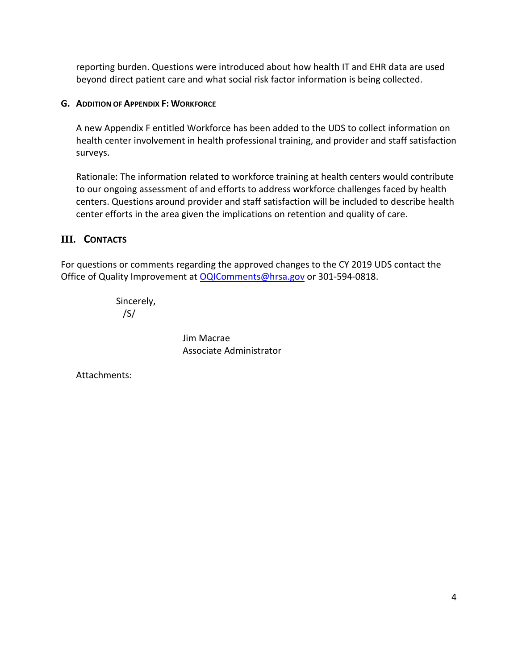reporting burden. Questions were introduced about how health IT and EHR data are used beyond direct patient care and what social risk factor information is being collected.

## **G. ADDITION OF APPENDIX F: WORKFORCE**

A new Appendix F entitled Workforce has been added to the UDS to collect information on health center involvement in health professional training, and provider and staff satisfaction surveys.

Rationale: The information related to workforce training at health centers would contribute to our ongoing assessment of and efforts to address workforce challenges faced by health centers. Questions around provider and staff satisfaction will be included to describe health center efforts in the area given the implications on retention and quality of care.

## **III. CONTACTS**

For questions or comments regarding the approved changes to the CY 2019 UDS contact the Office of Quality Improvement at [OQIComments@hrsa.gov](mailto:OQIComments@hrsa.gov) or 301-594-0818.

> Sincerely, /S/

> > Jim Macrae Associate Administrator

Attachments: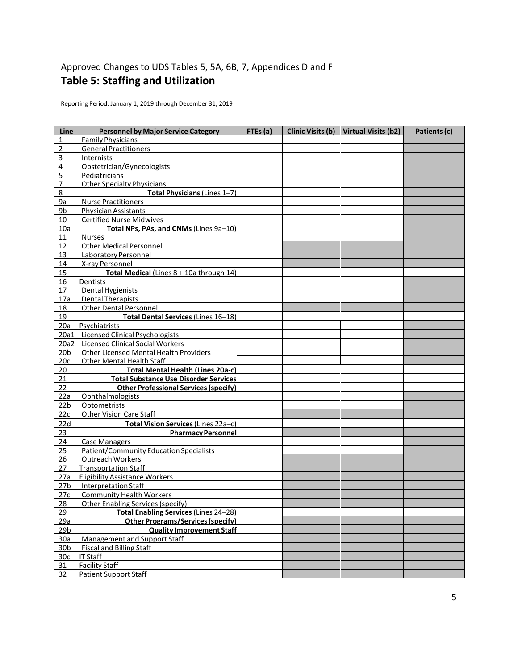# Approved Changes to UDS Tables 5, 5A, 6B, 7, Appendices D and F **Table 5: Staffing and Utilization**

Reporting Period: January 1, 2019 through December 31, 2019

| Line            | <b>Personnel by Major Service Category</b>   | FTEs(a) | Clinic Visits (b) Virtual Visits (b2) | Patients (c) |
|-----------------|----------------------------------------------|---------|---------------------------------------|--------------|
| 1               | <b>Family Physicians</b>                     |         |                                       |              |
| $\overline{2}$  | <b>General Practitioners</b>                 |         |                                       |              |
| 3               | Internists                                   |         |                                       |              |
| 4               | Obstetrician/Gynecologists                   |         |                                       |              |
| 5               | Pediatricians                                |         |                                       |              |
| 7               | <b>Other Specialty Physicians</b>            |         |                                       |              |
| 8               | Total Physicians (Lines 1-7)                 |         |                                       |              |
| <u>9a</u>       | Nurse Practitioners                          |         |                                       |              |
| 9b              | <b>Physician Assistants</b>                  |         |                                       |              |
| 10              | <b>Certified Nurse Midwives</b>              |         |                                       |              |
| 10a             | Total NPs, PAs, and CNMs (Lines 9a-10)       |         |                                       |              |
| 11              | <b>Nurses</b>                                |         |                                       |              |
| 12              | <b>Other Medical Personnel</b>               |         |                                       |              |
| 13              | <b>Laboratory Personnel</b>                  |         |                                       |              |
| 14              | X-ray Personnel                              |         |                                       |              |
| 15              | Total Medical (Lines 8 + 10a through 14)     |         |                                       |              |
| 16              | Dentists                                     |         |                                       |              |
| 17              | Dental Hygienists                            |         |                                       |              |
| 17a             | <b>Dental Therapists</b>                     |         |                                       |              |
| 18              | <b>Other Dental Personnel</b>                |         |                                       |              |
| 19              | Total Dental Services (Lines 16-18)          |         |                                       |              |
| 20a             | Psychiatrists                                |         |                                       |              |
| 20a1            | Licensed Clinical Psychologists              |         |                                       |              |
| 20a2            | <b>Licensed Clinical Social Workers</b>      |         |                                       |              |
| 20 <sub>b</sub> | Other Licensed Mental Health Providers       |         |                                       |              |
| 20c             | <b>Other Mental Health Staff</b>             |         |                                       |              |
| 20              | <b>Total Mental Health (Lines 20a-c)</b>     |         |                                       |              |
| 21              | <b>Total Substance Use Disorder Services</b> |         |                                       |              |
| 22              | <b>Other Professional Services (specify)</b> |         |                                       |              |
| 22a             | <b>Ophthalmologists</b>                      |         |                                       |              |
| 22 <sub>b</sub> | Optometrists                                 |         |                                       |              |
| 22c             | <b>Other Vision Care Staff</b>               |         |                                       |              |
| 22d             | Total Vision Services (Lines 22a-c)          |         |                                       |              |
| 23              | <b>Pharmacy Personnel</b>                    |         |                                       |              |
| 24              | <b>Case Managers</b>                         |         |                                       |              |
| 25              | Patient/Community Education Specialists      |         |                                       |              |
| 26              | <b>Outreach Workers</b>                      |         |                                       |              |
| 27              | <b>Transportation Staff</b>                  |         |                                       |              |
| 27a             | <b>Eligibility Assistance Workers</b>        |         |                                       |              |
| 27 <sub>b</sub> | <b>Interpretation Staff</b>                  |         |                                       |              |
| 27c             | <b>Community Health Workers</b>              |         |                                       |              |
| 28              | <b>Other Enabling Services (specify)</b>     |         |                                       |              |
| 29              | <b>Total Enabling Services (Lines 24-28)</b> |         |                                       |              |
| 29a             | <b>Other Programs/Services (specify)</b>     |         |                                       |              |
| 29 <sub>b</sub> | <b>Quality Improvement Staff</b>             |         |                                       |              |
| 30a             | Management and Support Staff                 |         |                                       |              |
| 30 <sub>b</sub> | <b>Fiscal and Billing Staff</b>              |         |                                       |              |
| 30 <sub>c</sub> | <b>IT Staff</b>                              |         |                                       |              |
| 31              | <b>Facility Staff</b>                        |         |                                       |              |
| 32              | <b>Patient Support Staff</b>                 |         |                                       |              |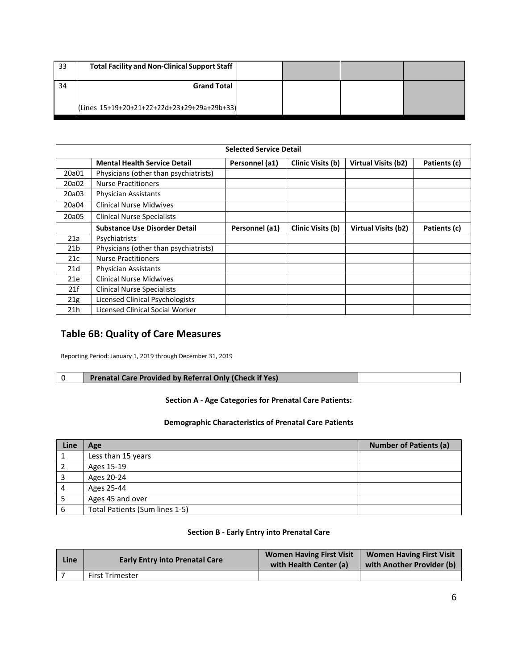| 33 | Total Facility and Non-Clinical Support Staff |  |  |
|----|-----------------------------------------------|--|--|
| 34 | <b>Grand Total</b>                            |  |  |
|    | (Lines 15+19+20+21+22+22d+23+29+29a+29b+33)   |  |  |

| <b>Selected Service Detail</b> |                                       |                |                   |                            |              |  |
|--------------------------------|---------------------------------------|----------------|-------------------|----------------------------|--------------|--|
|                                | <b>Mental Health Service Detail</b>   | Personnel (a1) | Clinic Visits (b) | Virtual Visits (b2)        | Patients (c) |  |
| 20a01                          | Physicians (other than psychiatrists) |                |                   |                            |              |  |
| 20a02                          | <b>Nurse Practitioners</b>            |                |                   |                            |              |  |
| 20a03                          | <b>Physician Assistants</b>           |                |                   |                            |              |  |
| 20a04                          | <b>Clinical Nurse Midwives</b>        |                |                   |                            |              |  |
| 20a05                          | <b>Clinical Nurse Specialists</b>     |                |                   |                            |              |  |
|                                | <b>Substance Use Disorder Detail</b>  | Personnel (a1) | Clinic Visits (b) | <b>Virtual Visits (b2)</b> | Patients (c) |  |
| 21a                            | Psychiatrists                         |                |                   |                            |              |  |
| 21 <sub>b</sub>                | Physicians (other than psychiatrists) |                |                   |                            |              |  |
| 21c                            | <b>Nurse Practitioners</b>            |                |                   |                            |              |  |
| 21d                            | <b>Physician Assistants</b>           |                |                   |                            |              |  |
| 21e                            | <b>Clinical Nurse Midwives</b>        |                |                   |                            |              |  |
| 21f                            | <b>Clinical Nurse Specialists</b>     |                |                   |                            |              |  |
| 21g                            | Licensed Clinical Psychologists       |                |                   |                            |              |  |
| 21h                            | Licensed Clinical Social Worker       |                |                   |                            |              |  |

## **Table 6B: Quality of Care Measures**

Reporting Period: January 1, 2019 through December 31, 2019

| Prenatal Care Provided by Referral Only (Check if Yes) |
|--------------------------------------------------------|
|--------------------------------------------------------|

### **Section A - Age Categories for Prenatal Care Patients:**

#### **Demographic Characteristics of Prenatal Care Patients**

| Line | Age                            | <b>Number of Patients (a)</b> |
|------|--------------------------------|-------------------------------|
|      | Less than 15 years             |                               |
|      | Ages 15-19                     |                               |
|      | Ages 20-24                     |                               |
| 4    | Ages 25-44                     |                               |
|      | Ages 45 and over               |                               |
|      | Total Patients (Sum lines 1-5) |                               |

## **Section B - Early Entry into Prenatal Care**

| Line | <b>Early Entry into Prenatal Care</b> | <b>Women Having First Visit</b><br>with Health Center (a) | <b>Women Having First Visit</b><br>with Another Provider (b) |
|------|---------------------------------------|-----------------------------------------------------------|--------------------------------------------------------------|
|      | <b>First Trimester</b>                |                                                           |                                                              |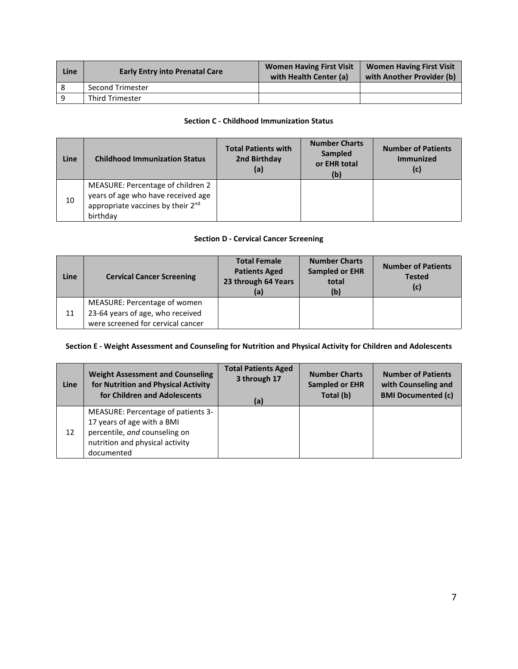| Line | <b>Early Entry into Prenatal Care</b> | <b>Women Having First Visit</b><br>with Health Center (a) | <b>Women Having First Visit</b><br>with Another Provider (b) |
|------|---------------------------------------|-----------------------------------------------------------|--------------------------------------------------------------|
|      | <b>Second Trimester</b>               |                                                           |                                                              |
|      | <b>Third Trimester</b>                |                                                           |                                                              |

#### **Section C - Childhood Immunization Status**

| Line | <b>Childhood Immunization Status</b>                                                                                     | <b>Total Patients with</b><br>2nd Birthday<br>(a) | <b>Number Charts</b><br>Sampled<br>or EHR total<br>(b) | <b>Number of Patients</b><br><b>Immunized</b><br>(c) |
|------|--------------------------------------------------------------------------------------------------------------------------|---------------------------------------------------|--------------------------------------------------------|------------------------------------------------------|
| 10   | MEASURE: Percentage of children 2<br>years of age who have received age<br>appropriate vaccines by their 2nd<br>birthday |                                                   |                                                        |                                                      |

## **Section D - Cervical Cancer Screening**

| Line | <b>Cervical Cancer Screening</b>                                                                      | <b>Total Female</b><br><b>Patients Aged</b><br>23 through 64 Years<br>(a) | <b>Number Charts</b><br><b>Sampled or EHR</b><br>total<br>(b) | <b>Number of Patients</b><br><b>Tested</b><br>(c) |
|------|-------------------------------------------------------------------------------------------------------|---------------------------------------------------------------------------|---------------------------------------------------------------|---------------------------------------------------|
| 11   | MEASURE: Percentage of women<br>23-64 years of age, who received<br>were screened for cervical cancer |                                                                           |                                                               |                                                   |

#### **Section E - Weight Assessment and Counseling for Nutrition and Physical Activity for Children and Adolescents**

| Line | <b>Weight Assessment and Counseling</b>                                                                                                            | <b>Total Patients Aged</b> | <b>Number Charts</b>  | <b>Number of Patients</b> |
|------|----------------------------------------------------------------------------------------------------------------------------------------------------|----------------------------|-----------------------|---------------------------|
|      | for Nutrition and Physical Activity                                                                                                                | 3 through 17               | <b>Sampled or EHR</b> | with Counseling and       |
|      | for Children and Adolescents                                                                                                                       | (a)                        | Total (b)             | <b>BMI Documented (c)</b> |
| 12   | MEASURE: Percentage of patients 3-<br>17 years of age with a BMI<br>percentile, and counseling on<br>nutrition and physical activity<br>documented |                            |                       |                           |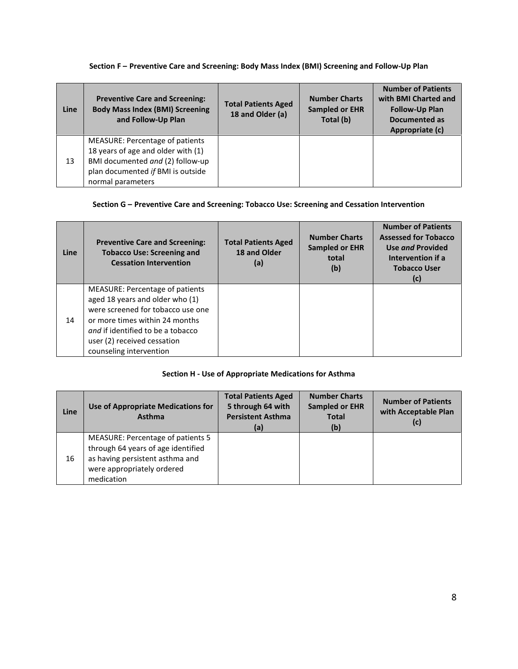## **Section F – Preventive Care and Screening: Body Mass Index (BMI) Screening and Follow-Up Plan**

| <b>Line</b> | <b>Preventive Care and Screening:</b><br><b>Body Mass Index (BMI) Screening</b><br>and Follow-Up Plan                                                               | <b>Total Patients Aged</b><br>18 and Older (a) | <b>Number Charts</b><br><b>Sampled or EHR</b><br>Total (b) | <b>Number of Patients</b><br>with BMI Charted and<br><b>Follow-Up Plan</b><br>Documented as<br>Appropriate (c) |
|-------------|---------------------------------------------------------------------------------------------------------------------------------------------------------------------|------------------------------------------------|------------------------------------------------------------|----------------------------------------------------------------------------------------------------------------|
| 13          | MEASURE: Percentage of patients<br>18 years of age and older with (1)<br>BMI documented and (2) follow-up<br>plan documented if BMI is outside<br>normal parameters |                                                |                                                            |                                                                                                                |

## **Section G – Preventive Care and Screening: Tobacco Use: Screening and Cessation Intervention**

| <b>Line</b> | <b>Preventive Care and Screening:</b><br><b>Tobacco Use: Screening and</b><br><b>Cessation Intervention</b>                                                                                                                              | <b>Total Patients Aged</b><br>18 and Older<br>(a) | <b>Number Charts</b><br><b>Sampled or EHR</b><br>total<br>(b) | <b>Number of Patients</b><br><b>Assessed for Tobacco</b><br>Use and Provided<br>Intervention if a<br><b>Tobacco User</b><br>(c) |
|-------------|------------------------------------------------------------------------------------------------------------------------------------------------------------------------------------------------------------------------------------------|---------------------------------------------------|---------------------------------------------------------------|---------------------------------------------------------------------------------------------------------------------------------|
| 14          | MEASURE: Percentage of patients<br>aged 18 years and older who (1)<br>were screened for tobacco use one<br>or more times within 24 months<br>and if identified to be a tobacco<br>user (2) received cessation<br>counseling intervention |                                                   |                                                               |                                                                                                                                 |

## **Section H - Use of Appropriate Medications for Asthma**

| Line | Use of Appropriate Medications for<br>Asthma                                                                                                           | <b>Total Patients Aged</b><br>5 through 64 with<br><b>Persistent Asthma</b><br>(a) | <b>Number Charts</b><br><b>Sampled or EHR</b><br><b>Total</b><br>(b) | <b>Number of Patients</b><br>with Acceptable Plan<br>(c) |
|------|--------------------------------------------------------------------------------------------------------------------------------------------------------|------------------------------------------------------------------------------------|----------------------------------------------------------------------|----------------------------------------------------------|
| 16   | MEASURE: Percentage of patients 5<br>through 64 years of age identified<br>as having persistent asthma and<br>were appropriately ordered<br>medication |                                                                                    |                                                                      |                                                          |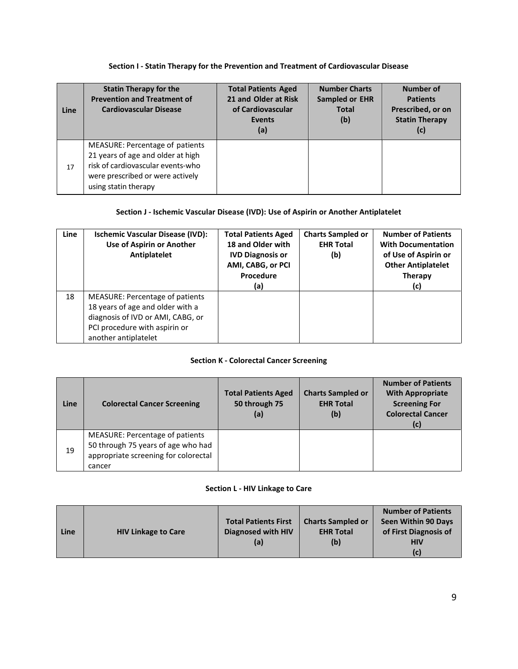#### **Section I - Statin Therapy for the Prevention and Treatment of Cardiovascular Disease**

| Line | <b>Statin Therapy for the</b><br><b>Prevention and Treatment of</b><br><b>Cardiovascular Disease</b>                                                                  | <b>Total Patients Aged</b><br>21 and Older at Risk<br>of Cardiovascular<br><b>Events</b><br>(a) | <b>Number Charts</b><br><b>Sampled or EHR</b><br><b>Total</b><br>(b) | Number of<br><b>Patients</b><br>Prescribed, or on<br><b>Statin Therapy</b><br>(c) |
|------|-----------------------------------------------------------------------------------------------------------------------------------------------------------------------|-------------------------------------------------------------------------------------------------|----------------------------------------------------------------------|-----------------------------------------------------------------------------------|
| 17   | MEASURE: Percentage of patients<br>21 years of age and older at high<br>risk of cardiovascular events-who<br>were prescribed or were actively<br>using statin therapy |                                                                                                 |                                                                      |                                                                                   |

## **Section J - Ischemic Vascular Disease (IVD): Use of Aspirin or Another Antiplatelet**

| Line | <b>Ischemic Vascular Disease (IVD):</b><br>Use of Aspirin or Another<br>Antiplatelet                                                                              | <b>Total Patients Aged</b><br>18 and Older with<br><b>IVD Diagnosis or</b><br>AMI, CABG, or PCI<br>Procedure<br>(a) | <b>Charts Sampled or</b><br><b>EHR Total</b><br>(b) | <b>Number of Patients</b><br><b>With Documentation</b><br>of Use of Aspirin or<br><b>Other Antiplatelet</b><br><b>Therapy</b><br>(c) |
|------|-------------------------------------------------------------------------------------------------------------------------------------------------------------------|---------------------------------------------------------------------------------------------------------------------|-----------------------------------------------------|--------------------------------------------------------------------------------------------------------------------------------------|
| 18   | MEASURE: Percentage of patients<br>18 years of age and older with a<br>diagnosis of IVD or AMI, CABG, or<br>PCI procedure with aspirin or<br>another antiplatelet |                                                                                                                     |                                                     |                                                                                                                                      |

## **Section K - Colorectal Cancer Screening**

| Line | <b>Colorectal Cancer Screening</b>                                                                                      | <b>Total Patients Aged</b><br>50 through 75<br>(a) | <b>Charts Sampled or</b><br><b>EHR Total</b><br>(b) | <b>Number of Patients</b><br><b>With Appropriate</b><br><b>Screening For</b><br><b>Colorectal Cancer</b><br>(c) |
|------|-------------------------------------------------------------------------------------------------------------------------|----------------------------------------------------|-----------------------------------------------------|-----------------------------------------------------------------------------------------------------------------|
| 19   | MEASURE: Percentage of patients<br>50 through 75 years of age who had<br>appropriate screening for colorectal<br>cancer |                                                    |                                                     |                                                                                                                 |

## **Section L - HIV Linkage to Care**

| Line | <b>HIV Linkage to Care</b> | <b>Total Patients First</b><br>Diagnosed with HIV<br>(a) | <b>Charts Sampled or</b><br><b>EHR Total</b><br>(b) | <b>Number of Patients</b><br>Seen Within 90 Days<br>of First Diagnosis of<br><b>HIV</b> |
|------|----------------------------|----------------------------------------------------------|-----------------------------------------------------|-----------------------------------------------------------------------------------------|
|      |                            |                                                          |                                                     |                                                                                         |
|      |                            |                                                          |                                                     | (c)                                                                                     |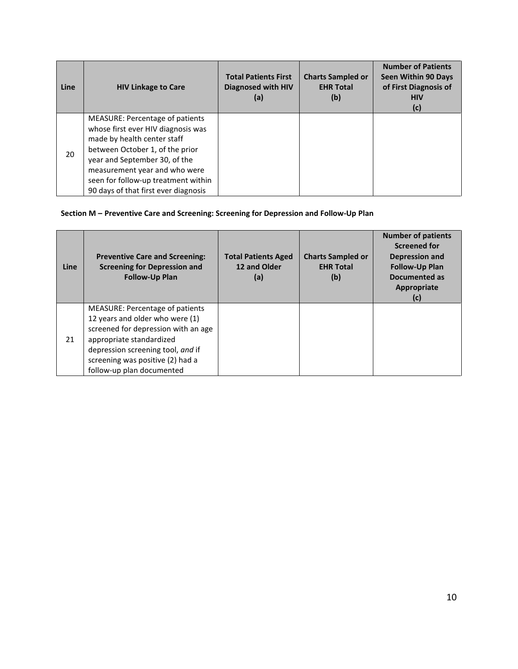| Line | <b>HIV Linkage to Care</b>                                                                                                                                                                                                                                                                      | <b>Total Patients First</b><br><b>Diagnosed with HIV</b><br>(a) | <b>Charts Sampled or</b><br><b>EHR Total</b><br>(b) | <b>Number of Patients</b><br><b>Seen Within 90 Days</b><br>of First Diagnosis of<br><b>HIV</b><br>(c) |
|------|-------------------------------------------------------------------------------------------------------------------------------------------------------------------------------------------------------------------------------------------------------------------------------------------------|-----------------------------------------------------------------|-----------------------------------------------------|-------------------------------------------------------------------------------------------------------|
| 20   | <b>MEASURE: Percentage of patients</b><br>whose first ever HIV diagnosis was<br>made by health center staff<br>between October 1, of the prior<br>year and September 30, of the<br>measurement year and who were<br>seen for follow-up treatment within<br>90 days of that first ever diagnosis |                                                                 |                                                     |                                                                                                       |

## **Section M – Preventive Care and Screening: Screening for Depression and Follow-Up Plan**

| Line | <b>Preventive Care and Screening:</b><br><b>Screening for Depression and</b><br><b>Follow-Up Plan</b>                                                                                                                                              | <b>Total Patients Aged</b><br>12 and Older<br>(a) | <b>Charts Sampled or</b><br><b>EHR Total</b><br>(b) | <b>Number of patients</b><br>Screened for<br><b>Depression and</b><br><b>Follow-Up Plan</b><br>Documented as<br>Appropriate<br>(c) |
|------|----------------------------------------------------------------------------------------------------------------------------------------------------------------------------------------------------------------------------------------------------|---------------------------------------------------|-----------------------------------------------------|------------------------------------------------------------------------------------------------------------------------------------|
| 21   | <b>MEASURE: Percentage of patients</b><br>12 years and older who were (1)<br>screened for depression with an age<br>appropriate standardized<br>depression screening tool, and if<br>screening was positive (2) had a<br>follow-up plan documented |                                                   |                                                     |                                                                                                                                    |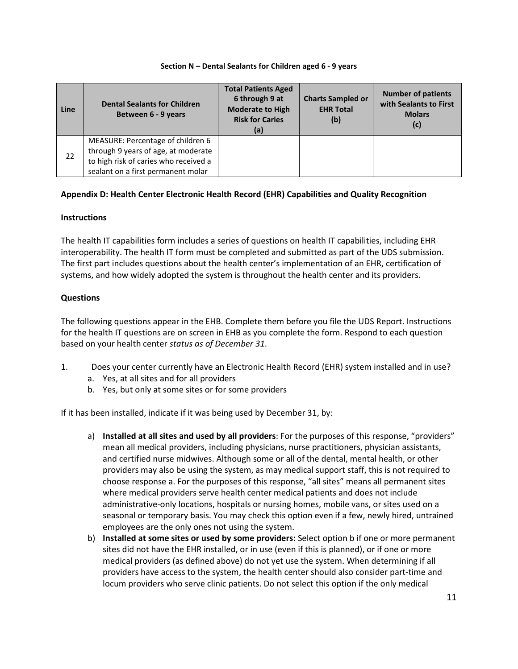| Line | <b>Dental Sealants for Children</b><br>Between 6 - 9 years                                                                                              | <b>Total Patients Aged</b><br>6 through 9 at<br><b>Moderate to High</b><br><b>Risk for Caries</b><br>(a) | <b>Charts Sampled or</b><br><b>EHR Total</b><br>(b) | <b>Number of patients</b><br>with Sealants to First<br><b>Molars</b><br>(c) |
|------|---------------------------------------------------------------------------------------------------------------------------------------------------------|----------------------------------------------------------------------------------------------------------|-----------------------------------------------------|-----------------------------------------------------------------------------|
| 22   | MEASURE: Percentage of children 6<br>through 9 years of age, at moderate<br>to high risk of caries who received a<br>sealant on a first permanent molar |                                                                                                          |                                                     |                                                                             |

#### **Section N – Dental Sealants for Children aged 6 - 9 years**

## **Appendix D: Health Center Electronic Health Record (EHR) Capabilities and Quality Recognition**

## **Instructions**

The health IT capabilities form includes a series of questions on health IT capabilities, including EHR interoperability. The health IT form must be completed and submitted as part of the UDS submission. The first part includes questions about the health center's implementation of an EHR, certification of systems, and how widely adopted the system is throughout the health center and its providers.

## **Questions**

The following questions appear in the EHB. Complete them before you file the UDS Report. Instructions for the health IT questions are on screen in EHB as you complete the form. Respond to each question based on your health center *status as of December 31*.

- 1. Does your center currently have an Electronic Health Record (EHR) system installed and in use?
	- a. Yes, at all sites and for all providers
	- b. Yes, but only at some sites or for some providers

If it has been installed, indicate if it was being used by December 31, by:

- a) **Installed at all sites and used by all providers**: For the purposes of this response, "providers" mean all medical providers, including physicians, nurse practitioners, physician assistants, and certified nurse midwives. Although some or all of the dental, mental health, or other providers may also be using the system, as may medical support staff, this is not required to choose response a. For the purposes of this response, "all sites" means all permanent sites where medical providers serve health center medical patients and does not include administrative-only locations, hospitals or nursing homes, mobile vans, or sites used on a seasonal or temporary basis. You may check this option even if a few, newly hired, untrained employees are the only ones not using the system.
- b) **Installed at some sites or used by some providers:** Select option b if one or more permanent sites did not have the EHR installed, or in use (even if this is planned), or if one or more medical providers (as defined above) do not yet use the system. When determining if all providers have access to the system, the health center should also consider part-time and locum providers who serve clinic patients. Do not select this option if the only medical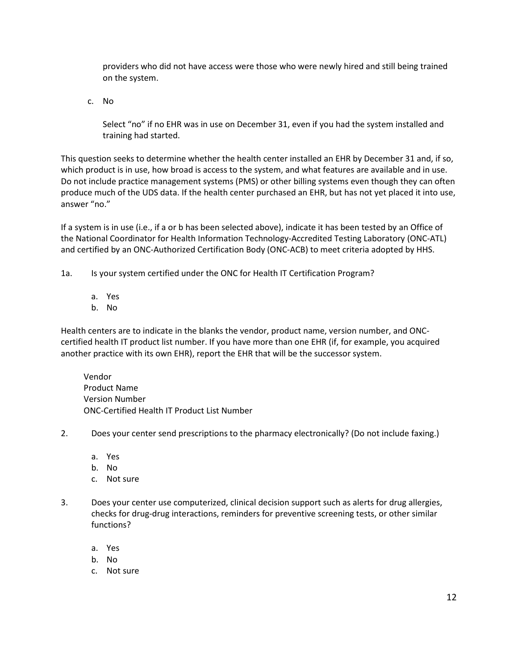providers who did not have access were those who were newly hired and still being trained on the system.

c. No

Select "no" if no EHR was in use on December 31, even if you had the system installed and training had started.

This question seeks to determine whether the health center installed an EHR by December 31 and, if so, which product is in use, how broad is access to the system, and what features are available and in use. Do not include practice management systems (PMS) or other billing systems even though they can often produce much of the UDS data. If the health center purchased an EHR, but has not yet placed it into use, answer "no."

If a system is in use (i.e., if a or b has been selected above), indicate it has been tested by an Office of the National Coordinator for Health Information Technology-Accredited Testing Laboratory (ONC-ATL) and certified by an ONC-Authorized Certification Body (ONC-ACB) to meet criteria adopted by HHS.

1a. Is your system certified under the ONC for Health IT Certification Program?

- a. Yes
- b. No

Health centers are to indicate in the blanks the vendor, product name, version number, and ONCcertified health IT product list number. If you have more than one EHR (if, for example, you acquired another practice with its own EHR), report the EHR that will be the successor system.

Vendor Product Name Version Number ONC-Certified Health IT Product List Number

- 2. Does your center send prescriptions to the pharmacy electronically? (Do not include faxing.)
	- a. Yes
	- b. No
	- c. Not sure
- 3. Does your center use computerized, clinical decision support such as alerts for drug allergies, checks for drug-drug interactions, reminders for preventive screening tests, or other similar functions?
	- a. Yes
	- b. No
	- c. Not sure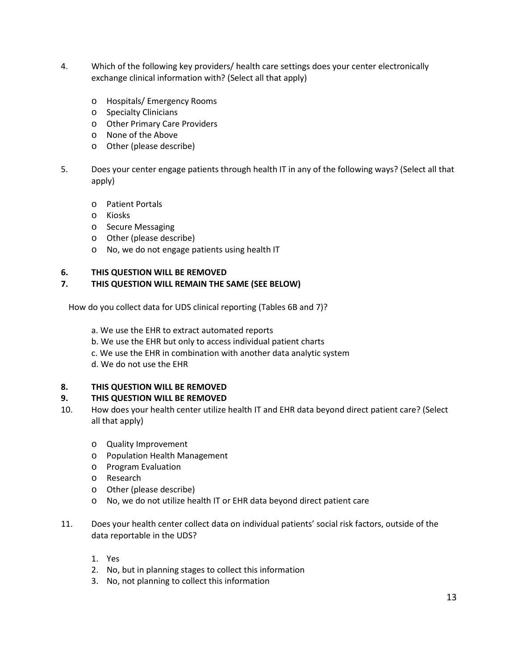- 4. Which of the following key providers/ health care settings does your center electronically exchange clinical information with? (Select all that apply)
	- Hospitals/ Emergency Rooms
	- Specialty Clinicians
	- Other Primary Care Providers
	- None of the Above
	- Other (please describe)
- 5. Does your center engage patients through health IT in any of the following ways? (Select all that apply)
	- Patient Portals
	- Kiosks
	- Secure Messaging
	- Other (please describe)
	- No, we do not engage patients using health IT

#### **6. THIS QUESTION WILL BE REMOVED**

## **7. THIS QUESTION WILL REMAIN THE SAME (SEE BELOW)**

How do you collect data for UDS clinical reporting (Tables 6B and 7)?

a. We use the EHR to extract automated reports

- b. We use the EHR but only to access individual patient charts
- c. We use the EHR in combination with another data analytic system
- d. We do not use the EHR

## **8. THIS QUESTION WILL BE REMOVED**

## **9. THIS QUESTION WILL BE REMOVED**

- 10. How does your health center utilize health IT and EHR data beyond direct patient care? (Select all that apply)
	- Quality Improvement
	- Population Health Management
	- Program Evaluation
	- Research
	- Other (please describe)
	- No, we do not utilize health IT or EHR data beyond direct patient care
- 11. Does your health center collect data on individual patients' social risk factors, outside of the data reportable in the UDS?
	- 1. Yes
	- 2. No, but in planning stages to collect this information
	- 3. No, not planning to collect this information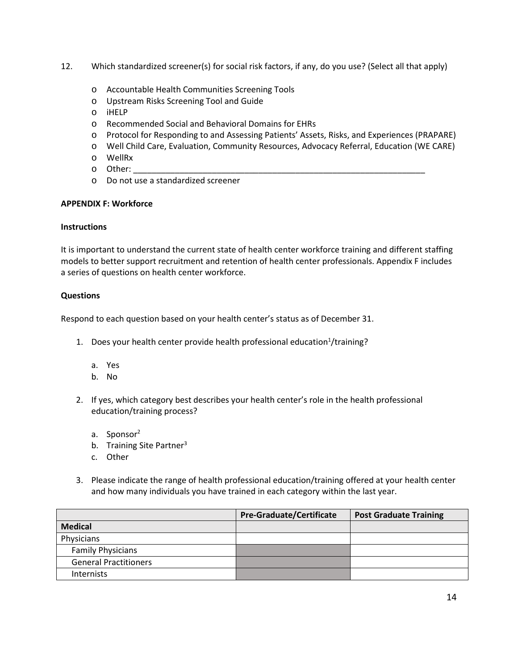- 12. Which standardized screener(s) for social risk factors, if any, do you use? (Select all that apply)
	- Accountable Health Communities Screening Tools
	- Upstream Risks Screening Tool and Guide
	- iHELP
	- Recommended Social and Behavioral Domains for EHRs
	- Protocol for Responding to and Assessing Patients' Assets, Risks, and Experiences (PRAPARE)
	- Well Child Care, Evaluation, Community Resources, Advocacy Referral, Education (WE CARE)
	- WellRx
	- Other: \_\_\_\_\_\_\_\_\_\_\_\_\_\_\_\_\_\_\_\_\_\_\_\_\_\_\_\_\_\_\_\_\_\_\_\_\_\_\_\_\_\_\_\_\_\_\_\_\_\_\_\_\_\_\_\_\_\_\_\_\_\_\_
	- Do not use a standardized screener

#### **APPENDIX F: Workforce**

#### **Instructions**

It is important to understand the current state of health center workforce training and different staffing models to better support recruitment and retention of health center professionals. Appendix F includes a series of questions on health center workforce.

## **Questions**

Respond to each question based on your health center's status as of December 31.

- 1. Does your health center provide health professional education<sup>1</sup>/training?
	- a. Yes
	- b. No
- 2. If yes, which category best describes your health center's role in the health professional education/training process?
	- a. Sponsor<sup>2</sup>
	- b. Training Site Partner<sup>3</sup>
	- c. Other
- 3. Please indicate the range of health professional education/training offered at your health center and how many individuals you have trained in each category within the last year.

|                              | Pre-Graduate/Certificate | <b>Post Graduate Training</b> |
|------------------------------|--------------------------|-------------------------------|
| <b>Medical</b>               |                          |                               |
| Physicians                   |                          |                               |
| <b>Family Physicians</b>     |                          |                               |
| <b>General Practitioners</b> |                          |                               |
| Internists                   |                          |                               |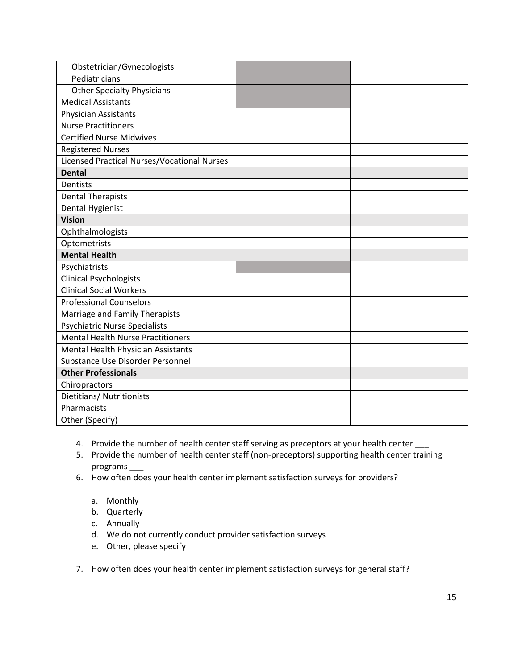| Obstetrician/Gynecologists                  |  |
|---------------------------------------------|--|
| Pediatricians                               |  |
| <b>Other Specialty Physicians</b>           |  |
| <b>Medical Assistants</b>                   |  |
| <b>Physician Assistants</b>                 |  |
| <b>Nurse Practitioners</b>                  |  |
| <b>Certified Nurse Midwives</b>             |  |
| <b>Registered Nurses</b>                    |  |
| Licensed Practical Nurses/Vocational Nurses |  |
| <b>Dental</b>                               |  |
| <b>Dentists</b>                             |  |
| <b>Dental Therapists</b>                    |  |
| Dental Hygienist                            |  |
| <b>Vision</b>                               |  |
| Ophthalmologists                            |  |
| Optometrists                                |  |
| <b>Mental Health</b>                        |  |
| Psychiatrists                               |  |
| <b>Clinical Psychologists</b>               |  |
| <b>Clinical Social Workers</b>              |  |
| <b>Professional Counselors</b>              |  |
| Marriage and Family Therapists              |  |
| <b>Psychiatric Nurse Specialists</b>        |  |
| <b>Mental Health Nurse Practitioners</b>    |  |
| Mental Health Physician Assistants          |  |
| Substance Use Disorder Personnel            |  |
| <b>Other Professionals</b>                  |  |
| Chiropractors                               |  |
| Dietitians/ Nutritionists                   |  |
| Pharmacists                                 |  |
| Other (Specify)                             |  |

- 4. Provide the number of health center staff serving as preceptors at your health center \_\_\_
- 5. Provide the number of health center staff (non-preceptors) supporting health center training programs \_\_\_
- 6. How often does your health center implement satisfaction surveys for providers?
	- a. Monthly
	- b. Quarterly
	- c. Annually
	- d. We do not currently conduct provider satisfaction surveys
	- e. Other, please specify
- 7. How often does your health center implement satisfaction surveys for general staff?